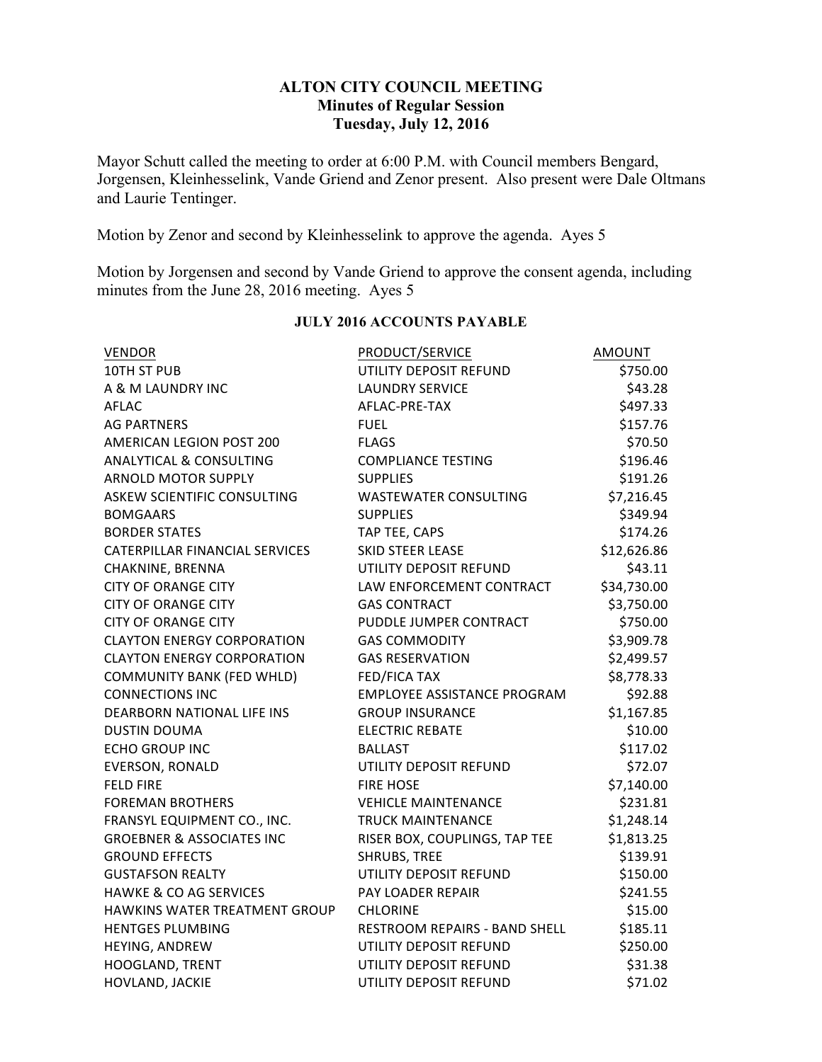## **ALTON CITY COUNCIL MEETING Minutes of Regular Session Tuesday, July 12, 2016**

Mayor Schutt called the meeting to order at 6:00 P.M. with Council members Bengard, Jorgensen, Kleinhesselink, Vande Griend and Zenor present. Also present were Dale Oltmans and Laurie Tentinger.

Motion by Zenor and second by Kleinhesselink to approve the agenda. Ayes 5

Motion by Jorgensen and second by Vande Griend to approve the consent agenda, including minutes from the June 28, 2016 meeting. Ayes 5

| <b>VENDOR</b>                        | PRODUCT/SERVICE                    | <b>AMOUNT</b> |
|--------------------------------------|------------------------------------|---------------|
| 10TH ST PUB                          | UTILITY DEPOSIT REFUND             | \$750.00      |
| A & M LAUNDRY INC                    | <b>LAUNDRY SERVICE</b>             | \$43.28       |
| AFLAC                                | AFLAC-PRE-TAX                      | \$497.33      |
| <b>AG PARTNERS</b>                   | <b>FUEL</b>                        | \$157.76      |
| AMERICAN LEGION POST 200             | <b>FLAGS</b>                       | \$70.50       |
| <b>ANALYTICAL &amp; CONSULTING</b>   | <b>COMPLIANCE TESTING</b>          | \$196.46      |
| <b>ARNOLD MOTOR SUPPLY</b>           | <b>SUPPLIES</b>                    | \$191.26      |
| ASKEW SCIENTIFIC CONSULTING          | <b>WASTEWATER CONSULTING</b>       | \$7,216.45    |
| <b>BOMGAARS</b>                      | <b>SUPPLIES</b>                    | \$349.94      |
| <b>BORDER STATES</b>                 | TAP TEE, CAPS                      | \$174.26      |
| CATERPILLAR FINANCIAL SERVICES       | SKID STEER LEASE                   | \$12,626.86   |
| CHAKNINE, BRENNA                     | UTILITY DEPOSIT REFUND             | \$43.11       |
| <b>CITY OF ORANGE CITY</b>           | LAW ENFORCEMENT CONTRACT           | \$34,730.00   |
| <b>CITY OF ORANGE CITY</b>           | <b>GAS CONTRACT</b>                | \$3,750.00    |
| <b>CITY OF ORANGE CITY</b>           | PUDDLE JUMPER CONTRACT             | \$750.00      |
| <b>CLAYTON ENERGY CORPORATION</b>    | <b>GAS COMMODITY</b>               | \$3,909.78    |
| <b>CLAYTON ENERGY CORPORATION</b>    | <b>GAS RESERVATION</b>             | \$2,499.57    |
| <b>COMMUNITY BANK (FED WHLD)</b>     | <b>FED/FICA TAX</b>                | \$8,778.33    |
| <b>CONNECTIONS INC</b>               | <b>EMPLOYEE ASSISTANCE PROGRAM</b> | \$92.88       |
| <b>DEARBORN NATIONAL LIFE INS</b>    | <b>GROUP INSURANCE</b>             | \$1,167.85    |
| <b>DUSTIN DOUMA</b>                  | <b>ELECTRIC REBATE</b>             | \$10.00       |
| <b>ECHO GROUP INC</b>                | <b>BALLAST</b>                     | \$117.02      |
| <b>EVERSON, RONALD</b>               | UTILITY DEPOSIT REFUND             | \$72.07       |
| <b>FELD FIRE</b>                     | <b>FIRE HOSE</b>                   | \$7,140.00    |
| <b>FOREMAN BROTHERS</b>              | <b>VEHICLE MAINTENANCE</b>         | \$231.81      |
| FRANSYL EQUIPMENT CO., INC.          | <b>TRUCK MAINTENANCE</b>           | \$1,248.14    |
| <b>GROEBNER &amp; ASSOCIATES INC</b> | RISER BOX, COUPLINGS, TAP TEE      | \$1,813.25    |
| <b>GROUND EFFECTS</b>                | SHRUBS, TREE                       | \$139.91      |
| <b>GUSTAFSON REALTY</b>              | UTILITY DEPOSIT REFUND             | \$150.00      |
| <b>HAWKE &amp; CO AG SERVICES</b>    | PAY LOADER REPAIR                  | \$241.55      |
| HAWKINS WATER TREATMENT GROUP        | <b>CHLORINE</b>                    | \$15.00       |
| <b>HENTGES PLUMBING</b>              | RESTROOM REPAIRS - BAND SHELL      | \$185.11      |
| HEYING, ANDREW                       | UTILITY DEPOSIT REFUND             | \$250.00      |
| HOOGLAND, TRENT                      | UTILITY DEPOSIT REFUND             | \$31.38       |
| HOVLAND, JACKIE                      | UTILITY DEPOSIT REFUND             | \$71.02       |

#### **JULY 2016 ACCOUNTS PAYABLE**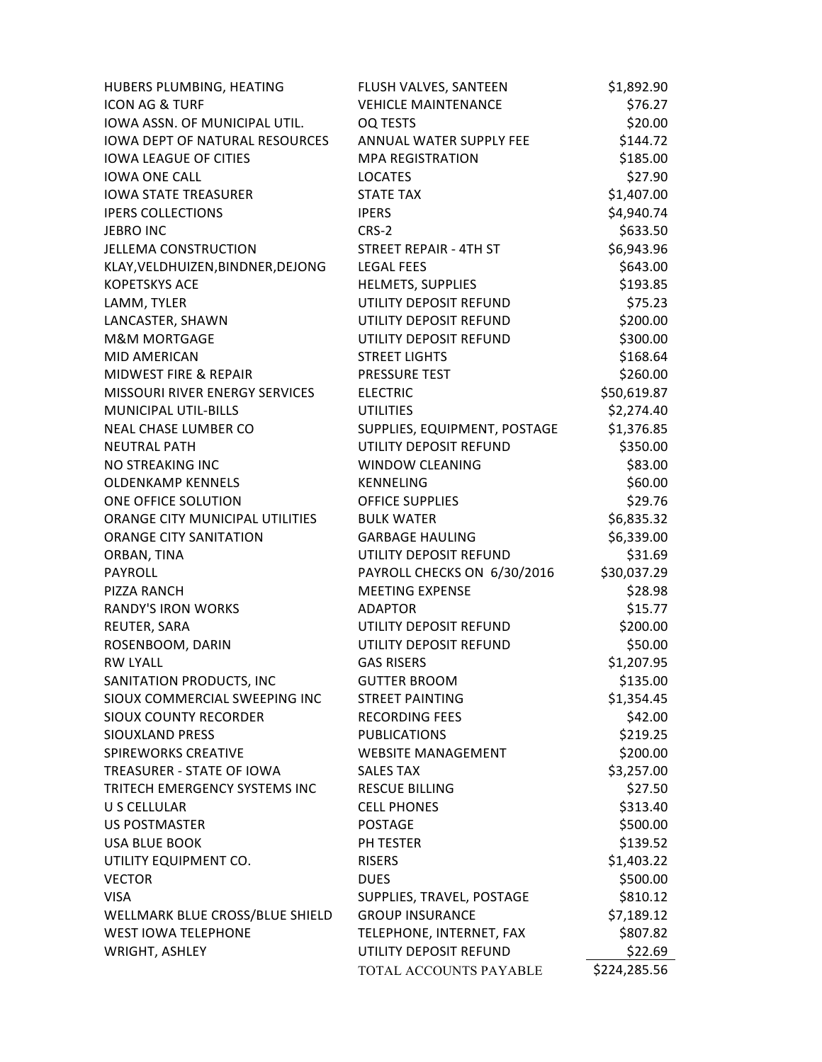| HUBERS PLUMBING, HEATING              | FLUSH VALVES, SANTEEN        | \$1,892.90   |
|---------------------------------------|------------------------------|--------------|
| <b>ICON AG &amp; TURF</b>             | <b>VEHICLE MAINTENANCE</b>   | \$76.27      |
| <b>IOWA ASSN. OF MUNICIPAL UTIL.</b>  | <b>OQ TESTS</b>              | \$20.00      |
| <b>IOWA DEPT OF NATURAL RESOURCES</b> | ANNUAL WATER SUPPLY FEE      | \$144.72     |
| <b>IOWA LEAGUE OF CITIES</b>          | <b>MPA REGISTRATION</b>      | \$185.00     |
| <b>IOWA ONE CALL</b>                  | <b>LOCATES</b>               | \$27.90      |
| <b>IOWA STATE TREASURER</b>           | <b>STATE TAX</b>             | \$1,407.00   |
| <b>IPERS COLLECTIONS</b>              | <b>IPERS</b>                 | \$4,940.74   |
| JEBRO INC                             | $CRS-2$                      | \$633.50     |
| <b>JELLEMA CONSTRUCTION</b>           | STREET REPAIR - 4TH ST       | \$6,943.96   |
| KLAY, VELDHUIZEN, BINDNER, DEJONG     | <b>LEGAL FEES</b>            | \$643.00     |
| <b>KOPETSKYS ACE</b>                  | HELMETS, SUPPLIES            | \$193.85     |
| LAMM, TYLER                           | UTILITY DEPOSIT REFUND       | \$75.23      |
| LANCASTER, SHAWN                      | UTILITY DEPOSIT REFUND       | \$200.00     |
| <b>M&amp;M MORTGAGE</b>               | UTILITY DEPOSIT REFUND       | \$300.00     |
| MID AMERICAN                          | <b>STREET LIGHTS</b>         | \$168.64     |
| MIDWEST FIRE & REPAIR                 | PRESSURE TEST                | \$260.00     |
| <b>MISSOURI RIVER ENERGY SERVICES</b> | <b>ELECTRIC</b>              | \$50,619.87  |
| <b>MUNICIPAL UTIL-BILLS</b>           | <b>UTILITIES</b>             | \$2,274.40   |
| NEAL CHASE LUMBER CO                  | SUPPLIES, EQUIPMENT, POSTAGE | \$1,376.85   |
| <b>NEUTRAL PATH</b>                   | UTILITY DEPOSIT REFUND       | \$350.00     |
| NO STREAKING INC                      | <b>WINDOW CLEANING</b>       | \$83.00      |
| <b>OLDENKAMP KENNELS</b>              | <b>KENNELING</b>             | \$60.00      |
| ONE OFFICE SOLUTION                   | <b>OFFICE SUPPLIES</b>       | \$29.76      |
| ORANGE CITY MUNICIPAL UTILITIES       | <b>BULK WATER</b>            | \$6,835.32   |
| <b>ORANGE CITY SANITATION</b>         | <b>GARBAGE HAULING</b>       | \$6,339.00   |
| ORBAN, TINA                           | UTILITY DEPOSIT REFUND       | \$31.69      |
| PAYROLL                               | PAYROLL CHECKS ON 6/30/2016  | \$30,037.29  |
| PIZZA RANCH                           | <b>MEETING EXPENSE</b>       | \$28.98      |
| <b>RANDY'S IRON WORKS</b>             | <b>ADAPTOR</b>               | \$15.77      |
| REUTER, SARA                          | UTILITY DEPOSIT REFUND       | \$200.00     |
| ROSENBOOM, DARIN                      | UTILITY DEPOSIT REFUND       | \$50.00      |
| <b>RW LYALL</b>                       | <b>GAS RISERS</b>            | \$1,207.95   |
| SANITATION PRODUCTS, INC              | <b>GUTTER BROOM</b>          | \$135.00     |
| SIOUX COMMERCIAL SWEEPING INC         | <b>STREET PAINTING</b>       | \$1,354.45   |
| SIOUX COUNTY RECORDER                 | <b>RECORDING FEES</b>        | \$42.00      |
| SIOUXLAND PRESS                       | <b>PUBLICATIONS</b>          | \$219.25     |
| SPIREWORKS CREATIVE                   | <b>WEBSITE MANAGEMENT</b>    | \$200.00     |
| TREASURER - STATE OF IOWA             | <b>SALES TAX</b>             | \$3,257.00   |
| TRITECH EMERGENCY SYSTEMS INC         | <b>RESCUE BILLING</b>        | \$27.50      |
| U S CELLULAR                          | <b>CELL PHONES</b>           | \$313.40     |
| <b>US POSTMASTER</b>                  | <b>POSTAGE</b>               | \$500.00     |
| <b>USA BLUE BOOK</b>                  | PH TESTER                    | \$139.52     |
| UTILITY EQUIPMENT CO.                 | <b>RISERS</b>                | \$1,403.22   |
| <b>VECTOR</b>                         | <b>DUES</b>                  | \$500.00     |
| <b>VISA</b>                           | SUPPLIES, TRAVEL, POSTAGE    | \$810.12     |
| WELLMARK BLUE CROSS/BLUE SHIELD       | <b>GROUP INSURANCE</b>       | \$7,189.12   |
| <b>WEST IOWA TELEPHONE</b>            | TELEPHONE, INTERNET, FAX     | \$807.82     |
| WRIGHT, ASHLEY                        | UTILITY DEPOSIT REFUND       | \$22.69      |
|                                       | TOTAL ACCOUNTS PAYABLE       | \$224,285.56 |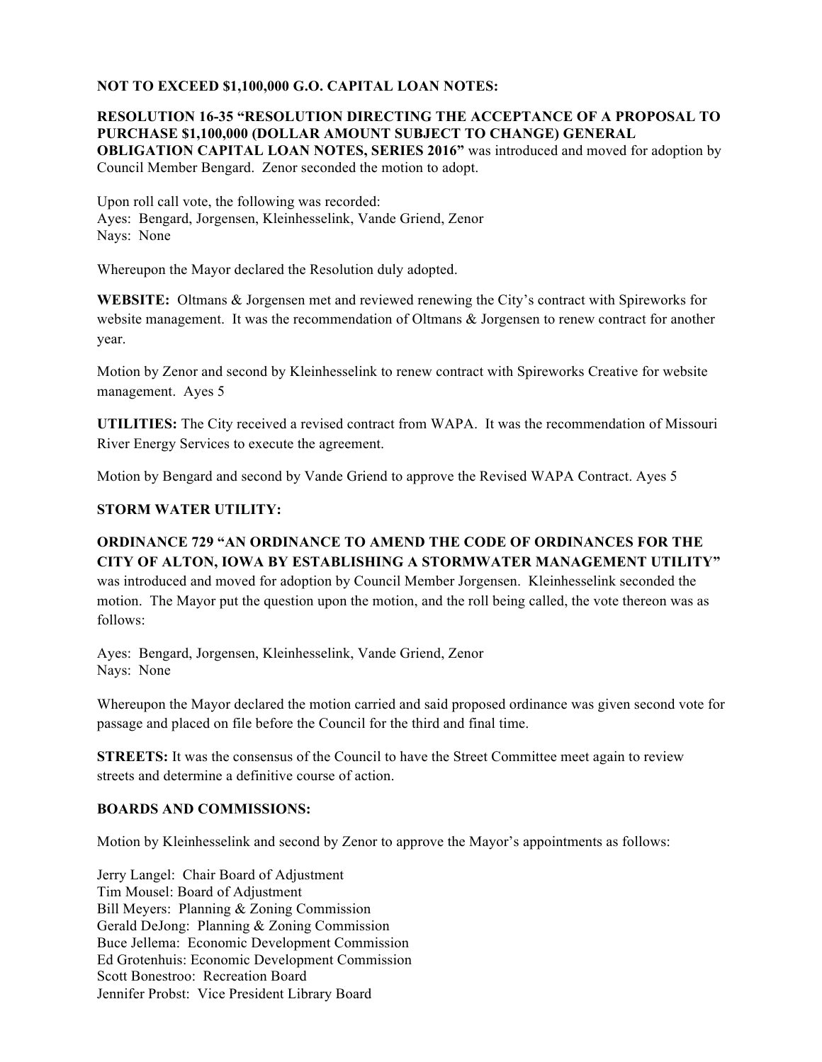#### **NOT TO EXCEED \$1,100,000 G.O. CAPITAL LOAN NOTES:**

#### **RESOLUTION 16-35 "RESOLUTION DIRECTING THE ACCEPTANCE OF A PROPOSAL TO PURCHASE \$1,100,000 (DOLLAR AMOUNT SUBJECT TO CHANGE) GENERAL OBLIGATION CAPITAL LOAN NOTES, SERIES 2016"** was introduced and moved for adoption by Council Member Bengard. Zenor seconded the motion to adopt.

Upon roll call vote, the following was recorded: Ayes: Bengard, Jorgensen, Kleinhesselink, Vande Griend, Zenor Nays: None

Whereupon the Mayor declared the Resolution duly adopted.

**WEBSITE:** Oltmans & Jorgensen met and reviewed renewing the City's contract with Spireworks for website management. It was the recommendation of Oltmans & Jorgensen to renew contract for another year.

Motion by Zenor and second by Kleinhesselink to renew contract with Spireworks Creative for website management. Ayes 5

**UTILITIES:** The City received a revised contract from WAPA. It was the recommendation of Missouri River Energy Services to execute the agreement.

Motion by Bengard and second by Vande Griend to approve the Revised WAPA Contract. Ayes 5

### **STORM WATER UTILITY:**

# **ORDINANCE 729 "AN ORDINANCE TO AMEND THE CODE OF ORDINANCES FOR THE CITY OF ALTON, IOWA BY ESTABLISHING A STORMWATER MANAGEMENT UTILITY"**

was introduced and moved for adoption by Council Member Jorgensen. Kleinhesselink seconded the motion. The Mayor put the question upon the motion, and the roll being called, the vote thereon was as follows:

Ayes: Bengard, Jorgensen, Kleinhesselink, Vande Griend, Zenor Nays: None

Whereupon the Mayor declared the motion carried and said proposed ordinance was given second vote for passage and placed on file before the Council for the third and final time.

**STREETS:** It was the consensus of the Council to have the Street Committee meet again to review streets and determine a definitive course of action.

#### **BOARDS AND COMMISSIONS:**

Motion by Kleinhesselink and second by Zenor to approve the Mayor's appointments as follows:

Jerry Langel: Chair Board of Adjustment Tim Mousel: Board of Adjustment Bill Meyers: Planning & Zoning Commission Gerald DeJong: Planning & Zoning Commission Buce Jellema: Economic Development Commission Ed Grotenhuis: Economic Development Commission Scott Bonestroo: Recreation Board Jennifer Probst: Vice President Library Board